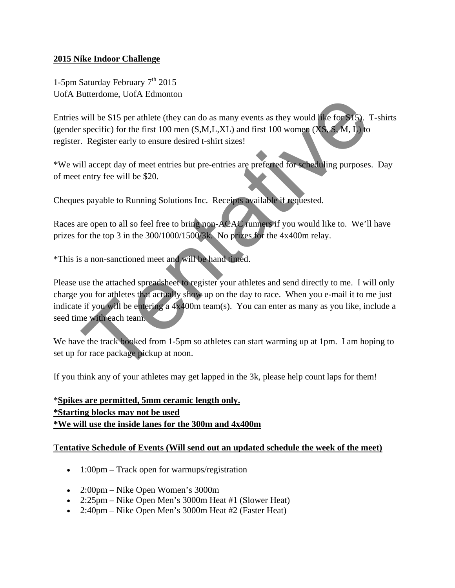## **2015 Nike Indoor Challenge**

1-5pm Saturday February  $7<sup>th</sup>$  2015 UofA Butterdome, UofA Edmonton

Entries will be \$15 per athlete (they can do as many events as they would like for \$15). T-shirts (gender specific) for the first 100 men  $(S, M, L, XL)$  and first 100 women  $(XS, S, M, L)$  to register. Register early to ensure desired t-shirt sizes!

\*We will accept day of meet entries but pre-entries are preferred for scheduling purposes. Day of meet entry fee will be \$20.

Cheques payable to Running Solutions Inc. Receipts available if requested.

Races are open to all so feel free to bring non-ACAC runners if you would like to. We'll have prizes for the top 3 in the 300/1000/1500/3k. No prizes for the 4x400m relay.

\*This is a non-sanctioned meet and will be hand timed.

Please use the attached spreadsheet to register your athletes and send directly to me. I will only charge you for athletes that actually show up on the day to race. When you e-mail it to me just indicate if you will be entering a 4x400m team(s). You can enter as many as you like, include a seed time with each team. will be \$15 per athlete (they can do as many events as they would like for \$15). T<br>specific) for the first 100 men (S.M.L.XL) and first 100 women (XS.S.M. L) to<br>Register early to ensure desired t-shirt sizes!<br>Ill accept d

We have the track booked from 1-5pm so athletes can start warming up at 1pm. I am hoping to set up for race package pickup at noon.

If you think any of your athletes may get lapped in the 3k, please help count laps for them!

\***Spikes are permitted, 5mm ceramic length only. \*Starting blocks may not be used \*We will use the inside lanes for the 300m and 4x400m**

## **Tentative Schedule of Events (Will send out an updated schedule the week of the meet)**

- $\bullet$  1:00pm Track open for warmups/registration
- 2:00pm Nike Open Women's 3000m
- 2:25pm Nike Open Men's 3000m Heat #1 (Slower Heat)
- 2:40pm Nike Open Men's 3000m Heat #2 (Faster Heat)